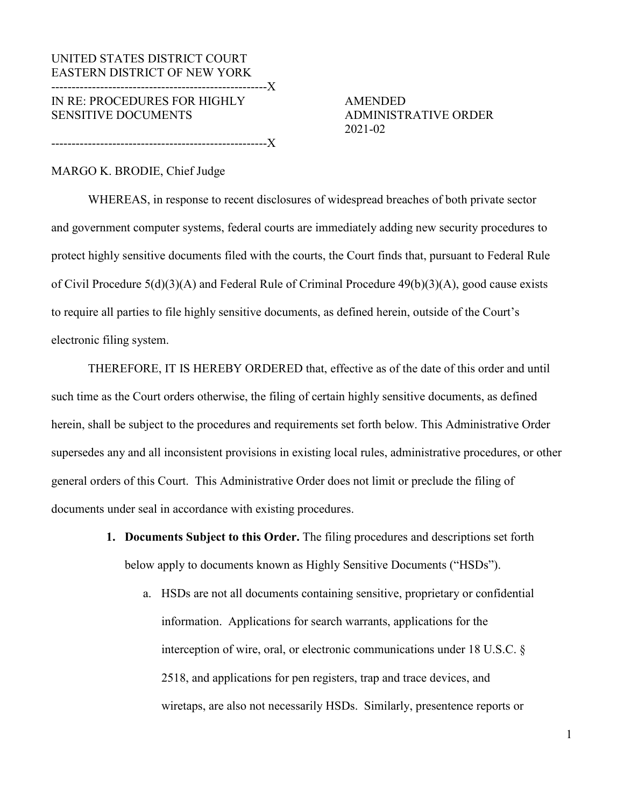# UNITED STATES DISTRICT COURT EASTERN DISTRICT OF NEW YORK -----------------------------------------------------X IN RE: PROCEDURES FOR HIGHLY AMENDED SENSITIVE DOCUMENTS ADMINISTRATIVE ORDER

-----------------------------------------------------X

2021-02

## MARGO K. BRODIE, Chief Judge

WHEREAS, in response to recent disclosures of widespread breaches of both private sector and government computer systems, federal courts are immediately adding new security procedures to protect highly sensitive documents filed with the courts, the Court finds that, pursuant to Federal [Rule](https://www.law.cornell.edu/rules/frcp/rule_5)  [of Civil Procedure 5\(d\)\(3\)\(A\) a](https://www.law.cornell.edu/rules/frcp/rule_5)nd Federal Rule of Criminal Procedure [49\(b\)\(3\)\(A\),](https://www.law.cornell.edu/rules/frcrmp/rule_49) good cause exists to require all parties to file highly sensitive documents, as defined herein, outside of the Court's electronic filing system.

THEREFORE, IT IS HEREBY ORDERED that, effective as of the date of this order and until such time as the Court orders otherwise, the filing of certain highly sensitive documents, as defined herein, shall be subject to the procedures and requirements set forth below. This Administrative Order supersedes any and all inconsistent provisions in existing local rules, administrative procedures, or other general orders of this Court. This Administrative Order does not limit or preclude the filing of documents under seal in accordance with existing procedures.

- **1. Documents Subject to this Order.** The filing procedures and descriptions set forth below apply to documents known as Highly Sensitive Documents ("HSDs").
	- a. HSDs are not all documents containing sensitive, proprietary or confidential information. Applications for search warrants, applications for the interception of wire, oral, or electronic communications under 18 U.S.C. § 2518, and applications for pen registers, trap and trace devices, and wiretaps, are also not necessarily HSDs. Similarly, presentence reports or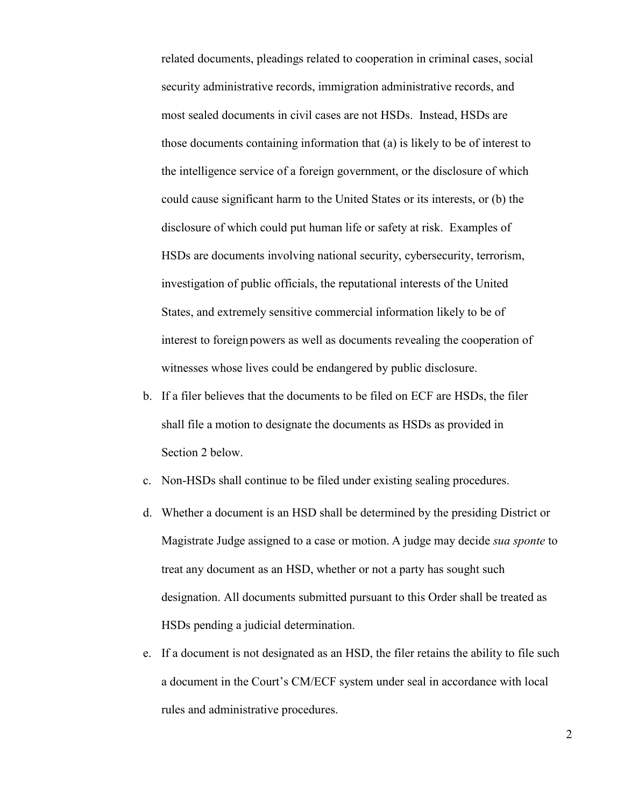related documents, pleadings related to cooperation in criminal cases, social security administrative records, immigration administrative records, and most sealed documents in civil cases are not HSDs. Instead, HSDs are those documents containing information that (a) is likely to be of interest to the intelligence service of a foreign government, or the disclosure of which could cause significant harm to the United States or its interests, or (b) the disclosure of which could put human life or safety at risk. Examples of HSDs are documents involving national security, cybersecurity, terrorism, investigation of public officials, the reputational interests of the United States, and extremely sensitive commercial information likely to be of interest to foreign powers as well as documents revealing the cooperation of witnesses whose lives could be endangered by public disclosure.

- b. If a filer believes that the documents to be filed on ECF are HSDs, the filer shall file a motion to designate the documents as HSDs as provided in Section 2 below.
- c. Non-HSDs shall continue to be filed under existing sealing procedures.
- d. Whether a document is an HSD shall be determined by the presiding District or Magistrate Judge assigned to a case or motion. A judge may decide *sua sponte* to treat any document as an HSD, whether or not a party has sought such designation. All documents submitted pursuant to this Order shall be treated as HSDs pending a judicial determination.
- e. If a document is not designated as an HSD, the filer retains the ability to file such a document in the Court's CM/ECF system under seal in accordance with local rules and administrative procedures.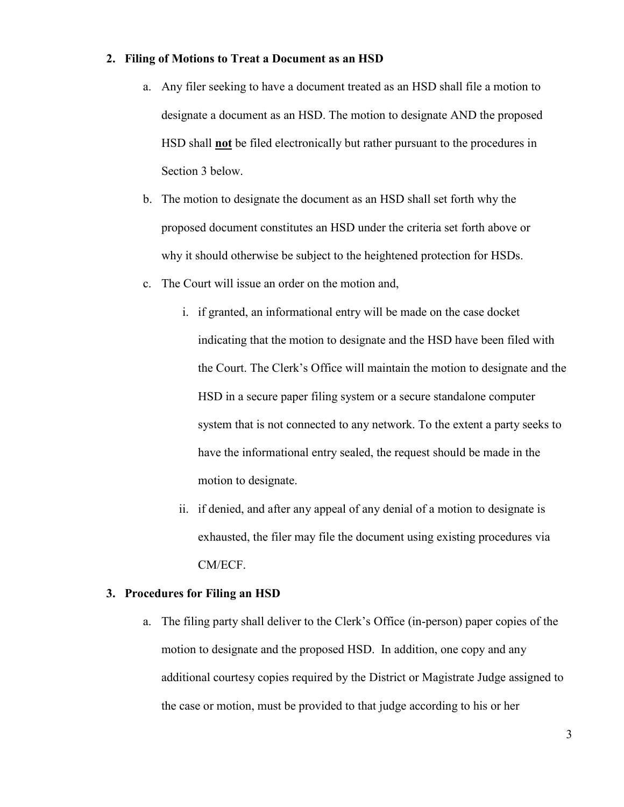#### **2. Filing of Motions to Treat a Document as an HSD**

- a. Any filer seeking to have a document treated as an HSD shall file a motion to designate a document as an HSD. The motion to designate AND the proposed HSD shall **not** be filed electronically but rather pursuant to the procedures in Section 3 below.
- b. The motion to designate the document as an HSD shall set forth why the proposed document constitutes an HSD under the criteria set forth above or why it should otherwise be subject to the heightened protection for HSDs.
- c. The Court will issue an order on the motion and,
	- i. if granted, an informational entry will be made on the case docket indicating that the motion to designate and the HSD have been filed with the Court. The Clerk's Office will maintain the motion to designate and the HSD in a secure paper filing system or a secure standalone computer system that is not connected to any network. To the extent a party seeks to have the informational entry sealed, the request should be made in the motion to designate.
	- ii. if denied, and after any appeal of any denial of a motion to designate is exhausted, the filer may file the document using existing procedures via CM/ECF.

### **3. Procedures for Filing an HSD**

a. The filing party shall deliver to the Clerk's Office (in-person) paper copies of the motion to designate and the proposed HSD. In addition, one copy and any additional courtesy copies required by the District or Magistrate Judge assigned to the case or motion, must be provided to that judge according to his or her